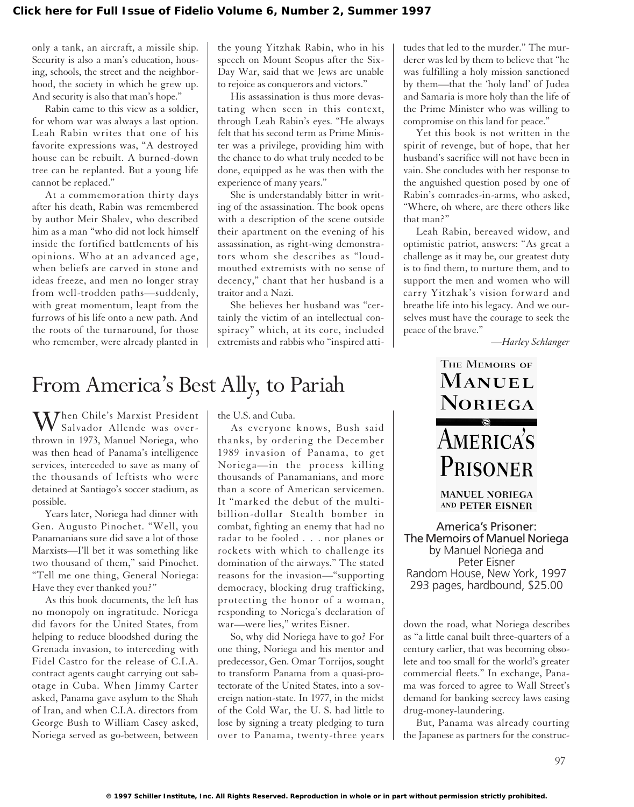only a tank, an aircraft, a missile ship. Security is also a man's education, housing, schools, the street and the neighborhood, the society in which he grew up. And security is also that man's hope."

Rabin came to this view as a soldier, for whom war was always a last option. Leah Rabin writes that one of his favorite expressions was, "A destroyed house can be rebuilt. A burned-down tree can be replanted. But a young life cannot be replaced."

At a commemoration thirty days after his death, Rabin was remembered by author Meir Shalev, who described him as a man "who did not lock himself inside the fortified battlements of his opinions. Who at an advanced age, when beliefs are carved in stone and ideas freeze, and men no longer stray from well-trodden paths—suddenly, with great momentum, leapt from the furrows of his life onto a new path. And the roots of the turnaround, for those who remember, were already planted in

the young Yitzhak Rabin, who in his speech on Mount Scopus after the Six-Day War, said that we Jews are unable to rejoice as conquerors and victors."

His assassination is thus more devastating when seen in this context, through Leah Rabin's eyes. "He always felt that his second term as Prime Minister was a privilege, providing him with the chance to do what truly needed to be done, equipped as he was then with the experience of many years."

She is understandably bitter in writing of the assassination. The book opens with a description of the scene outside their apartment on the evening of his assassination, as right-wing demonstrators whom she describes as "loudmouthed extremists with no sense of decency," chant that her husband is a traitor and a Nazi.

She believes her husband was "certainly the victim of an intellectual conspiracy" which, at its core, included extremists and rabbis who "inspired atti-

## From America's Best Ally, to Pariah

When Chile's Marxist President Salvador Allende was overthrown in 1973, Manuel Noriega, who was then head of Panama's intelligence services, interceded to save as many of the thousands of leftists who were detained at Santiago's soccer stadium, as possible.

Years later, Noriega had dinner with Gen. Augusto Pinochet. "Well, you Panamanians sure did save a lot of those Marxists—I'll bet it was something like two thousand of them," said Pinochet. "Tell me one thing, General Noriega: Have they ever thanked you?"

As this book documents, the left has no monopoly on ingratitude. Noriega did favors for the United States, from helping to reduce bloodshed during the Grenada invasion, to interceding with Fidel Castro for the release of C.I.A. contract agents caught carrying out sabotage in Cuba. When Jimmy Carter asked, Panama gave asylum to the Shah of Iran, and when C.I.A. directors from George Bush to William Casey asked, Noriega served as go-between, between

the U.S. and Cuba.

As everyone knows, Bush said thanks, by ordering the December 1989 invasion of Panama, to get Noriega—in the process killing thousands of Panamanians, and more than a score of American servicemen. It "marked the debut of the multibillion-dollar Stealth bomber in combat, fighting an enemy that had no radar to be fooled . . . nor planes or rockets with which to challenge its domination of the airways." The stated reasons for the invasion—"supporting democracy, blocking drug trafficking, protecting the honor of a woman, responding to Noriega's declaration of war—were lies," writes Eisner.

So, why did Noriega have to go? For one thing, Noriega and his mentor and predecessor, Gen. Omar Torrijos, sought to transform Panama from a quasi-protectorate of the United States, into a sovereign nation-state. In 1977, in the midst of the Cold War, the U. S. had little to lose by signing a treaty pledging to turn over to Panama, twenty-three years

tudes that led to the murder." The murderer was led by them to believe that "he was fulfilling a holy mission sanctioned by them—that the 'holy land' of Judea and Samaria is more holy than the life of the Prime Minister who was willing to compromise on this land for peace."

Yet this book is not written in the spirit of revenge, but of hope, that her husband's sacrifice will not have been in vain. She concludes with her response to the anguished question posed by one of Rabin's comrades-in-arms, who asked, "Where, oh where, are there others like that man?"

Leah Rabin, bereaved widow, and optimistic patriot, answers: "As great a challenge as it may be, our greatest duty is to find them, to nurture them, and to support the men and women who will carry Yitzhak's vision forward and breathe life into his legacy. And we ourselves must have the courage to seek the peace of the brave."

*—Harley Schlanger*

## THE MEMOIRS OF **MANUEL** NORIEGA **AMERICA'S** PRISONER

**MANUEL NORIEGA** AND PETER EISNER

America's Prisoner: The Memoirs of Manuel Noriega by Manuel Noriega and Peter Eisner Random House, New York, 1997 293 pages, hardbound, \$25.00

down the road, what Noriega describes as "a little canal built three-quarters of a century earlier, that was becoming obsolete and too small for the world's greater commercial fleets." In exchange, Panama was forced to agree to Wall Street's demand for banking secrecy laws easing drug-money-laundering.

But, Panama was already courting the Japanese as partners for the construc